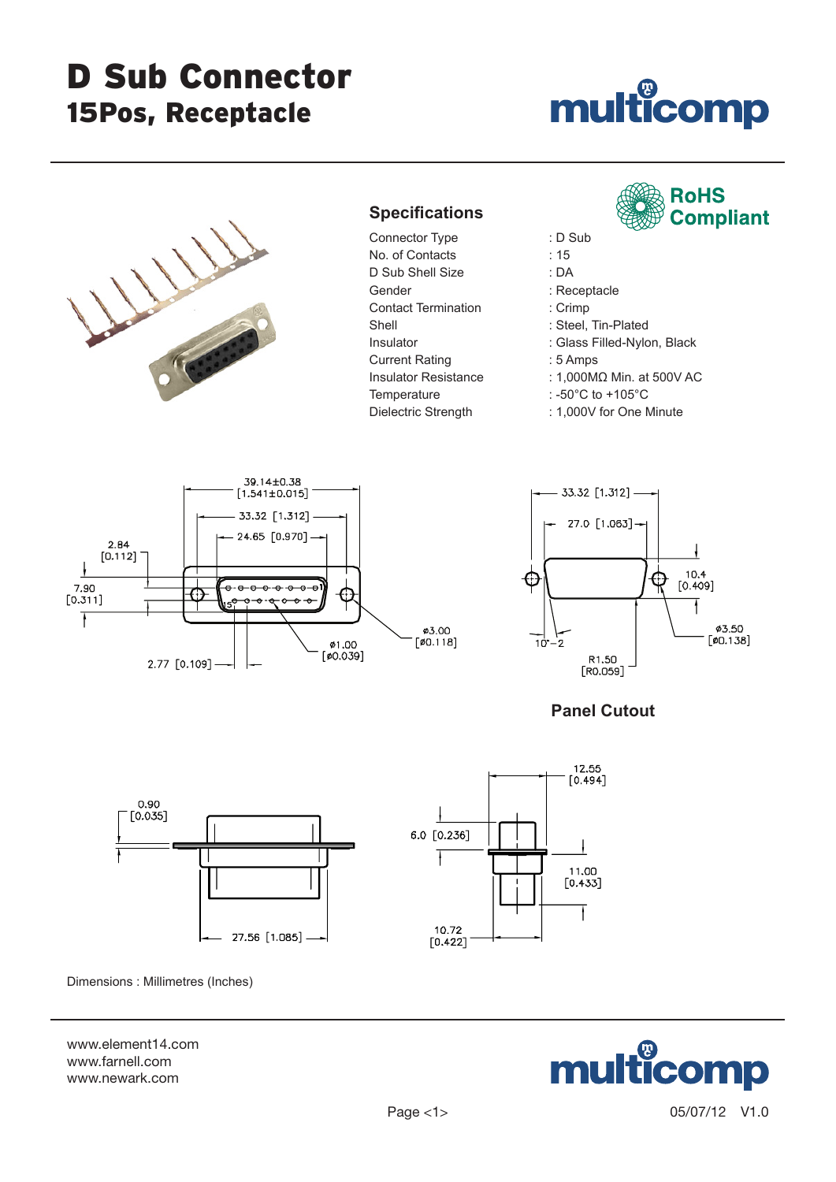# D Sub Connector 15Pos, Receptacle

# multicomp



## **Specifications**

Connector Type : D Sub No. of Contacts : 15 D Sub Shell Size : DA Gender : Receptacle Contact Termination : Crimp Shell : Steel, Tin-Plated Insulator : Glass Filled-Nylon, Black Current Rating : 5 Amps Temperature : -50°C to +105°C

- **RoHS Compliant**
- 

- 
- 
- 
- 
- 
- Insulator Resistance : 1,000MΩ Min. at 500V AC
	-
- Dielectric Strength : 1,000V for One Minute





### **Panel Cutout**



Dimensions : Millimetres (Inches)

www.element14.com www.farnell.com www.newark.com